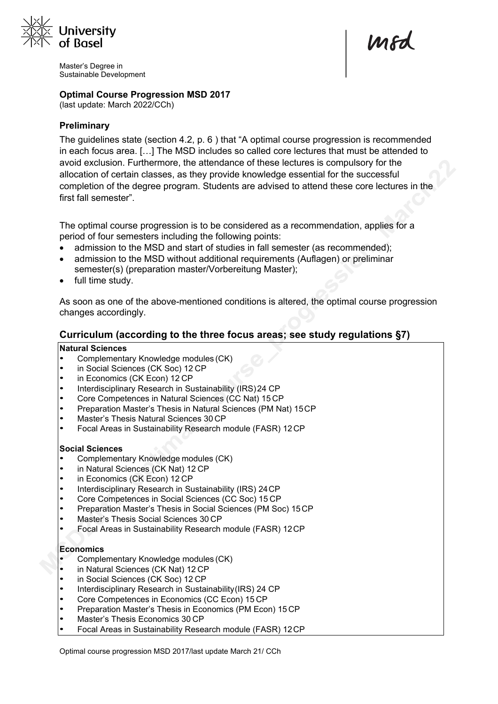

Master's Degree in Sustainable Development

### **Optimal Course Progression MSD 2017**

(last update: March 2022/CCh)

# **Preliminary**

The guidelines state (section 4.2, p. 6 ) that "A optimal course progression is recommended in each focus area. […] The MSD includes so called core lectures that must be attended to avoid exclusion. Furthermore, the attendance of these lectures is compulsory for the allocation of certain classes, as they provide knowledge essential for the successful completion of the degree program. Students are advised to attend these core lectures in the first fall semester".

mod

The optimal course progression is to be considered as a recommendation, applies for a period of four semesters including the following points:

- admission to the MSD and start of studies in fall semester (as recommended);
- admission to the MSD without additional requirements (Auflagen) or preliminar semester(s) (preparation master/Vorbereitung Master);
- full time study.

As soon as one of the above-mentioned conditions is altered, the optimal course progression changes accordingly.

# **Curriculum (according to the three focus areas; see study regulations §7)**

#### **Natural Sciences**

- Complementary Knowledge modules (CK)
- in Social Sciences (CK Soc) 12 CP
- in Economics (CK Econ) 12 CP
- Interdisciplinary Research in Sustainability (IRS)24 CP
- Core Competences in Natural Sciences (CC Nat) 15 CP
- Preparation Master's Thesis in Natural Sciences (PM Nat) 15CP
- Master's Thesis Natural Sciences 30 CP
- Focal Areas in Sustainability Research module (FASR) 12CP

#### **Social Sciences**

- Complementary Knowledge modules (CK)
- in Natural Sciences (CK Nat) 12 CP
- in Economics (CK Econ) 12 CP
- Interdisciplinary Research in Sustainability (IRS) 24CP
- Core Competences in Social Sciences (CC Soc) 15 CP
- Preparation Master's Thesis in Social Sciences (PM Soc) 15CP
- Master's Thesis Social Sciences 30 CP
- Focal Areas in Sustainability Research module (FASR) 12CP

#### **Economics**

- Complementary Knowledge modules (CK)
- in Natural Sciences (CK Nat) 12 CP
- in Social Sciences (CK Soc) 12 CP
- Interdisciplinary Research in Sustainability(IRS) 24 CP
- Core Competences in Economics (CC Econ) 15 CP
- Preparation Master's Thesis in Economics (PM Econ) 15 CP
- Master's Thesis Economics 30 CP
- Focal Areas in Sustainability Research module (FASR) 12CP

Optimal course progression MSD 2017/last update March 21/ CCh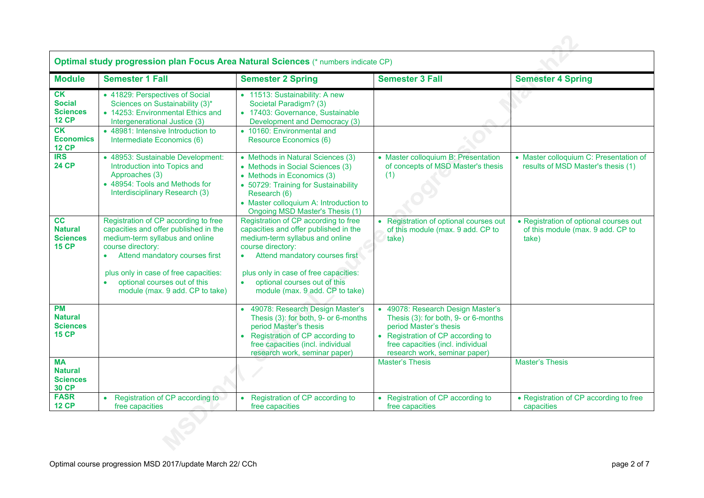|                                                                | Optimal study progression plan Focus Area Natural Sciences (* numbers indicate CP)                                                                                                                                                                                                               |                                                                                                                                                                                                                                                                                                               |                                                                                                                                                                                                                |                                                                                      |  |  |  |  |  |
|----------------------------------------------------------------|--------------------------------------------------------------------------------------------------------------------------------------------------------------------------------------------------------------------------------------------------------------------------------------------------|---------------------------------------------------------------------------------------------------------------------------------------------------------------------------------------------------------------------------------------------------------------------------------------------------------------|----------------------------------------------------------------------------------------------------------------------------------------------------------------------------------------------------------------|--------------------------------------------------------------------------------------|--|--|--|--|--|
| <b>Module</b>                                                  | <b>Semester 1 Fall</b>                                                                                                                                                                                                                                                                           | <b>Semester 2 Spring</b>                                                                                                                                                                                                                                                                                      | <b>Semester 3 Fall</b>                                                                                                                                                                                         | <b>Semester 4 Spring</b>                                                             |  |  |  |  |  |
| CK<br><b>Social</b><br><b>Sciences</b><br><b>12 CP</b>         | • 41829: Perspectives of Social<br>Sciences on Sustainability (3)*<br>• 14253: Environmental Ethics and<br>Intergenerational Justice (3)                                                                                                                                                         | • 11513: Sustainability: A new<br>Societal Paradigm? (3)<br>• 17403: Governance, Sustainable<br>Development and Democracy (3)                                                                                                                                                                                 |                                                                                                                                                                                                                |                                                                                      |  |  |  |  |  |
| CK<br><b>Economics</b><br><b>12 CP</b>                         | • 48981: Intensive Introduction to<br>Intermediate Economics (6)                                                                                                                                                                                                                                 | • 10160: Environmental and<br>Resource Economics (6)                                                                                                                                                                                                                                                          |                                                                                                                                                                                                                |                                                                                      |  |  |  |  |  |
| <b>IRS</b><br><b>24 CP</b>                                     | • 48953: Sustainable Development:<br>Introduction into Topics and<br>Approaches (3)<br>• 48954: Tools and Methods for<br>Interdisciplinary Research (3)                                                                                                                                          | • Methods in Natural Sciences (3)<br>• Methods in Social Sciences (3)<br>• Methods in Economics (3)<br>• 50729: Training for Sustainability<br>Research (6)<br>• Master colloquium A: Introduction to<br><b>Ongoing MSD Master's Thesis (1)</b>                                                               | • Master colloquium B: Presentation<br>of concepts of MSD Master's thesis<br>(1)                                                                                                                               | • Master colloquium C: Presentation of<br>results of MSD Master's thesis (1)         |  |  |  |  |  |
| cc<br><b>Natural</b><br><b>Sciences</b><br><b>15 CP</b>        | Registration of CP according to free<br>capacities and offer published in the<br>medium-term syllabus and online<br>course directory:<br>Attend mandatory courses first<br>$\bullet$<br>plus only in case of free capacities:<br>optional courses out of this<br>module (max. 9 add. CP to take) | Registration of CP according to free<br>capacities and offer published in the<br>medium-term syllabus and online<br>course directory:<br>Attend mandatory courses first<br>$\bullet$<br>plus only in case of free capacities:<br>optional courses out of this<br>$\bullet$<br>module (max. 9 add. CP to take) | • Registration of optional courses out<br>of this module (max. 9 add. CP to<br>take)                                                                                                                           | • Registration of optional courses out<br>of this module (max. 9 add. CP to<br>take) |  |  |  |  |  |
| <b>PM</b><br><b>Natural</b><br><b>Sciences</b><br><b>15 CP</b> |                                                                                                                                                                                                                                                                                                  | • 49078: Research Design Master's<br>Thesis (3): for both, 9- or 6-months<br>period Master's thesis<br>Registration of CP according to<br>free capacities (incl. individual<br>research work, seminar paper)                                                                                                  | • 49078: Research Design Master's<br>Thesis (3): for both, 9- or 6-months<br>period Master's thesis<br>• Registration of CP according to<br>free capacities (incl. individual<br>research work, seminar paper) |                                                                                      |  |  |  |  |  |
| <b>MA</b><br><b>Natural</b><br><b>Sciences</b><br><b>30 CP</b> |                                                                                                                                                                                                                                                                                                  |                                                                                                                                                                                                                                                                                                               | <b>Master's Thesis</b>                                                                                                                                                                                         | <b>Master's Thesis</b>                                                               |  |  |  |  |  |
| <b>FASR</b><br><b>12 CP</b>                                    | • Registration of CP according to<br>free capacities                                                                                                                                                                                                                                             | • Registration of CP according to<br>free capacities                                                                                                                                                                                                                                                          | • Registration of CP according to<br>free capacities                                                                                                                                                           | • Registration of CP according to free<br>capacities                                 |  |  |  |  |  |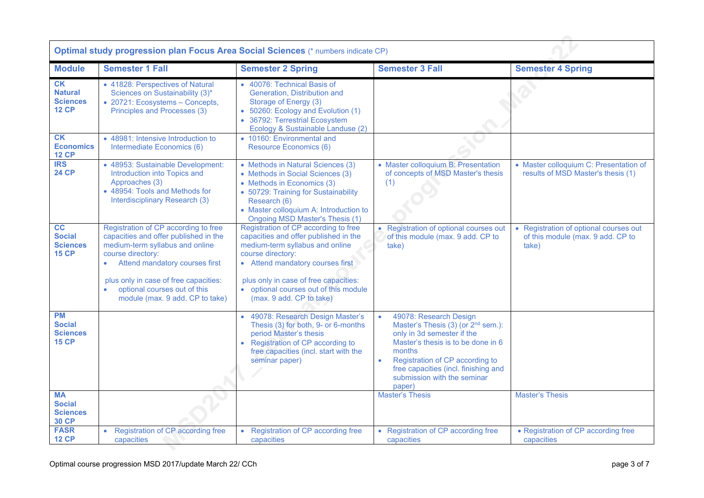| <b>Optimal study progression plan Focus Area Social Sciences (* numbers indicate CP)</b> |                                                                                                                                                                                                                                                                                                  |                                                                                                                                                                                                                                                                                         |                                                                                                                                                                                                                                                                            |                                                                                      |  |  |  |  |
|------------------------------------------------------------------------------------------|--------------------------------------------------------------------------------------------------------------------------------------------------------------------------------------------------------------------------------------------------------------------------------------------------|-----------------------------------------------------------------------------------------------------------------------------------------------------------------------------------------------------------------------------------------------------------------------------------------|----------------------------------------------------------------------------------------------------------------------------------------------------------------------------------------------------------------------------------------------------------------------------|--------------------------------------------------------------------------------------|--|--|--|--|
| <b>Module</b>                                                                            | <b>Semester 1 Fall</b>                                                                                                                                                                                                                                                                           | <b>Semester 2 Spring</b>                                                                                                                                                                                                                                                                | <b>Semester 3 Fall</b>                                                                                                                                                                                                                                                     | <b>Semester 4 Spring</b>                                                             |  |  |  |  |
| CK<br><b>Natural</b><br><b>Sciences</b><br><b>12 CP</b>                                  | • 41828: Perspectives of Natural<br>Sciences on Sustainability (3)*<br>• 20721: Ecosystems - Concepts,<br>Principles and Processes (3)                                                                                                                                                           | • 40076: Technical Basis of<br>Generation, Distribution and<br>Storage of Energy (3)<br>• 50260: Ecology and Evolution (1)<br>• 36792: Terrestrial Ecosystem<br>Ecology & Sustainable Landuse (2)                                                                                       |                                                                                                                                                                                                                                                                            |                                                                                      |  |  |  |  |
| <b>CK</b><br><b>Economics</b><br><b>12 CP</b>                                            | • 48981: Intensive Introduction to<br>Intermediate Economics (6)                                                                                                                                                                                                                                 | • 10160: Environmental and<br><b>Resource Economics (6)</b>                                                                                                                                                                                                                             |                                                                                                                                                                                                                                                                            |                                                                                      |  |  |  |  |
| <b>IRS</b><br><b>24 CP</b>                                                               | • 48953: Sustainable Development:<br>Introduction into Topics and<br>Approaches (3)<br>• 48954: Tools and Methods for<br>Interdisciplinary Research (3)                                                                                                                                          | • Methods in Natural Sciences (3)<br>• Methods in Social Sciences (3)<br>• Methods in Economics (3)<br>• 50729: Training for Sustainability<br>Research (6)<br>• Master colloquium A: Introduction to<br>Ongoing MSD Master's Thesis (1)                                                | • Master colloquium B: Presentation<br>of concepts of MSD Master's thesis<br>(1)                                                                                                                                                                                           | • Master colloquium C: Presentation of<br>results of MSD Master's thesis (1)         |  |  |  |  |
| cc<br><b>Social</b><br><b>Sciences</b><br><b>15 CP</b>                                   | Registration of CP according to free<br>capacities and offer published in the<br>medium-term syllabus and online<br>course directory:<br>Attend mandatory courses first<br>plus only in case of free capacities:<br>optional courses out of this<br>$\bullet$<br>module (max. 9 add. CP to take) | Registration of CP according to free<br>capacities and offer published in the<br>medium-term syllabus and online<br>course directory:<br>• Attend mandatory courses first<br>plus only in case of free capacities:<br>• optional courses out of this module<br>(max. 9 add. CP to take) | • Registration of optional courses out<br>of this module (max. 9 add. CP to<br>take)                                                                                                                                                                                       | • Registration of optional courses out<br>of this module (max. 9 add. CP to<br>take) |  |  |  |  |
| <b>PM</b><br><b>Social</b><br><b>Sciences</b><br><b>15 CP</b>                            |                                                                                                                                                                                                                                                                                                  | • 49078: Research Design Master's<br>Thesis (3) for both, 9- or 6-months<br>period Master's thesis<br>• Registration of CP according to<br>free capacities (incl. start with the<br>seminar paper)                                                                                      | 49078: Research Design<br>Master's Thesis (3) (or 2 <sup>nd</sup> sem.):<br>only in 3d semester if the<br>Master's thesis is to be done in 6<br>months<br>Registration of CP according to<br>free capacities (incl. finishing and<br>submission with the seminar<br>paper) |                                                                                      |  |  |  |  |
| <b>MA</b><br><b>Social</b><br><b>Sciences</b><br><b>30 CP</b>                            |                                                                                                                                                                                                                                                                                                  |                                                                                                                                                                                                                                                                                         | <b>Master's Thesis</b>                                                                                                                                                                                                                                                     | <b>Master's Thesis</b>                                                               |  |  |  |  |
| <b>FASR</b><br><b>12 CP</b>                                                              | • Registration of CP according free<br>capacities                                                                                                                                                                                                                                                | • Registration of CP according free<br>capacities                                                                                                                                                                                                                                       | • Registration of CP according free<br>capacities                                                                                                                                                                                                                          | • Registration of CP according free<br>capacities                                    |  |  |  |  |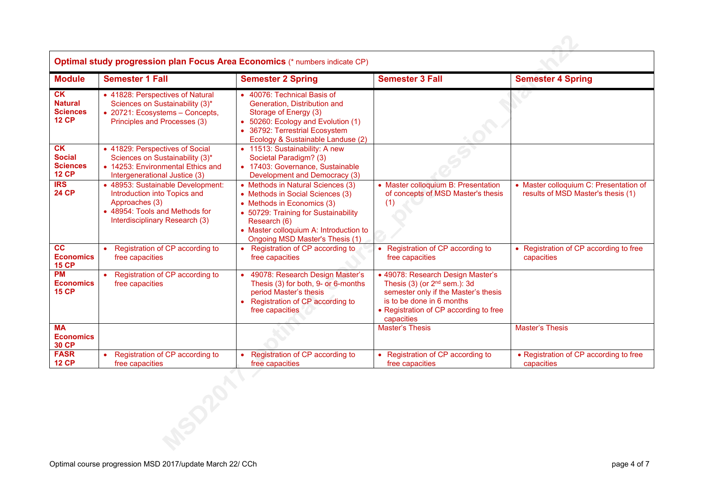| Optimal study progression plan Focus Area Economics (* numbers indicate CP) |                                                                                                                                                         |                                                                                                                                                                                                                                          |                                                                                                                                                                                                    |                                                                              |  |  |  |
|-----------------------------------------------------------------------------|---------------------------------------------------------------------------------------------------------------------------------------------------------|------------------------------------------------------------------------------------------------------------------------------------------------------------------------------------------------------------------------------------------|----------------------------------------------------------------------------------------------------------------------------------------------------------------------------------------------------|------------------------------------------------------------------------------|--|--|--|
| <b>Module</b>                                                               | <b>Semester 1 Fall</b>                                                                                                                                  | <b>Semester 2 Spring</b>                                                                                                                                                                                                                 | <b>Semester 3 Fall</b>                                                                                                                                                                             | <b>Semester 4 Spring</b>                                                     |  |  |  |
| <b>CK</b><br><b>Natural</b><br><b>Sciences</b><br><b>12 CP</b>              | • 41828: Perspectives of Natural<br>Sciences on Sustainability (3)*<br>• 20721: Ecosystems - Concepts,<br>Principles and Processes (3)                  | • 40076: Technical Basis of<br>Generation. Distribution and<br>Storage of Energy (3)<br>50260: Ecology and Evolution (1)<br>36792: Terrestrial Ecosystem<br>Ecology & Sustainable Landuse (2)                                            |                                                                                                                                                                                                    |                                                                              |  |  |  |
| <b>CK</b><br><b>Social</b><br><b>Sciences</b><br><b>12 CP</b>               | • 41829: Perspectives of Social<br>Sciences on Sustainability (3)*<br>• 14253: Environmental Ethics and<br>Intergenerational Justice (3)                | • 11513: Sustainability: A new<br>Societal Paradigm? (3)<br>• 17403: Governance, Sustainable<br>Development and Democracy (3)                                                                                                            |                                                                                                                                                                                                    |                                                                              |  |  |  |
| IRS<br><b>24 CP</b>                                                         | • 48953: Sustainable Development:<br>Introduction into Topics and<br>Approaches (3)<br>• 48954: Tools and Methods for<br>Interdisciplinary Research (3) | • Methods in Natural Sciences (3)<br>• Methods in Social Sciences (3)<br>• Methods in Economics (3)<br>• 50729: Training for Sustainability<br>Research (6)<br>• Master colloquium A: Introduction to<br>Ongoing MSD Master's Thesis (1) | • Master colloquium B: Presentation<br>of concepts of MSD Master's thesis<br>(1)                                                                                                                   | • Master colloquium C: Presentation of<br>results of MSD Master's thesis (1) |  |  |  |
| cc<br><b>Economics</b><br><b>15 CP</b>                                      | Registration of CP according to<br>$\bullet$<br>free capacities                                                                                         | Registration of CP according to<br>free capacities                                                                                                                                                                                       | • Registration of CP according to<br>free capacities                                                                                                                                               | • Registration of CP according to free<br>capacities                         |  |  |  |
| <b>PM</b><br><b>Economics</b><br><b>15 CP</b>                               | Registration of CP according to<br>$\bullet$<br>free capacities                                                                                         | 49078: Research Design Master's<br>Thesis (3) for both, 9- or 6-months<br>period Master's thesis<br>Registration of CP according to<br>free capacities                                                                                   | • 49078: Research Design Master's<br>Thesis $(3)$ (or $2nd$ sem.): 3d<br>semester only if the Master's thesis<br>is to be done in 6 months<br>• Registration of CP according to free<br>capacities |                                                                              |  |  |  |
| <b>MA</b><br><b>Economics</b><br><b>30 CP</b>                               |                                                                                                                                                         |                                                                                                                                                                                                                                          | <b>Master's Thesis</b>                                                                                                                                                                             | <b>Master's Thesis</b>                                                       |  |  |  |
| <b>FASR</b><br><b>12 CP</b>                                                 | Registration of CP according to<br>free capacities                                                                                                      | Registration of CP according to<br>free capacities                                                                                                                                                                                       | • Registration of CP according to<br>free capacities                                                                                                                                               | • Registration of CP according to free<br>capacities                         |  |  |  |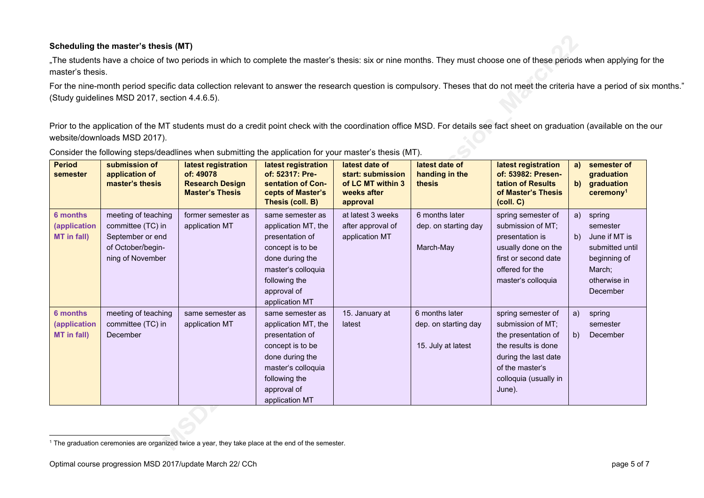### **Scheduling the master's thesis (MT)**

.The students have a choice of two periods in which to complete the master's thesis: six or nine months. They must choose one of these periods when applying for the master's thesis.

For the nine-month period specific data collection relevant to answer the research question is compulsory. Theses that do not meet the criteria have a period of six months." (Study guidelines MSD 2017, section 4.4.6.5).

Prior to the application of the MT students must do a credit point check with the coordination office MSD. For details see fact sheet on graduation (available on the our website/downloads MSD 2017).

| <b>Period</b><br>semester | submission of<br>application of<br>master's thesis | latest registration<br>of: 49078<br><b>Research Design</b><br><b>Master's Thesis</b> | latest registration<br>of: 52317: Pre-<br>sentation of Con-<br>cepts of Master's<br>Thesis (coll. B) | latest date of<br>start: submission<br>of LC MT within 3<br>weeks after<br>approval | latest date of<br>handing in the<br>thesis | latest registration<br>of: 53982: Presen-<br><b>tation of Results</b><br>of Master's Thesis<br>(coll. C) | a)<br>$\mathbf{b}$ | semester of<br>graduation<br>graduation<br>ceremony <sup>1</sup> |
|---------------------------|----------------------------------------------------|--------------------------------------------------------------------------------------|------------------------------------------------------------------------------------------------------|-------------------------------------------------------------------------------------|--------------------------------------------|----------------------------------------------------------------------------------------------------------|--------------------|------------------------------------------------------------------|
| 6 months                  | meeting of teaching                                | former semester as                                                                   | same semester as                                                                                     | at latest 3 weeks                                                                   | 6 months later                             | spring semester of                                                                                       | a)                 | spring                                                           |
| (application              | committee (TC) in                                  | application MT                                                                       | application MT, the                                                                                  | after approval of                                                                   | dep. on starting day                       | submission of MT;                                                                                        |                    | semester                                                         |
| MT in fall)               | September or end                                   |                                                                                      | presentation of                                                                                      | application MT                                                                      |                                            | presentation is                                                                                          | b)                 | June if MT is                                                    |
|                           | of October/begin-                                  |                                                                                      | concept is to be                                                                                     |                                                                                     | March-May                                  | usually done on the                                                                                      |                    | submitted until                                                  |
|                           | ning of November                                   |                                                                                      | done during the                                                                                      |                                                                                     |                                            | first or second date                                                                                     |                    | beginning of                                                     |
|                           |                                                    |                                                                                      | master's colloquia                                                                                   |                                                                                     |                                            | offered for the                                                                                          |                    | March;                                                           |
|                           |                                                    |                                                                                      | following the                                                                                        |                                                                                     |                                            | master's colloquia                                                                                       |                    | otherwise in                                                     |
|                           |                                                    |                                                                                      | approval of                                                                                          |                                                                                     |                                            |                                                                                                          |                    | December                                                         |
|                           |                                                    |                                                                                      | application MT                                                                                       |                                                                                     |                                            |                                                                                                          |                    |                                                                  |
| 6 months                  | meeting of teaching                                | same semester as                                                                     | same semester as                                                                                     | 15. January at                                                                      | 6 months later                             | spring semester of                                                                                       | a)                 | spring                                                           |
| (application              | committee (TC) in                                  | application MT                                                                       | application MT, the                                                                                  | latest                                                                              | dep. on starting day                       | submission of MT;                                                                                        |                    | semester                                                         |
| MT in fall)               | December                                           |                                                                                      | presentation of                                                                                      |                                                                                     |                                            | the presentation of                                                                                      | b)                 | December                                                         |
|                           |                                                    |                                                                                      | concept is to be                                                                                     |                                                                                     | 15. July at latest                         | the results is done                                                                                      |                    |                                                                  |
|                           |                                                    |                                                                                      | done during the                                                                                      |                                                                                     |                                            | during the last date                                                                                     |                    |                                                                  |
|                           |                                                    |                                                                                      | master's colloquia                                                                                   |                                                                                     |                                            | of the master's                                                                                          |                    |                                                                  |
|                           |                                                    |                                                                                      | following the                                                                                        |                                                                                     |                                            | colloquia (usually in                                                                                    |                    |                                                                  |
|                           |                                                    |                                                                                      | approval of                                                                                          |                                                                                     |                                            | June).                                                                                                   |                    |                                                                  |
|                           |                                                    |                                                                                      | application MT                                                                                       |                                                                                     |                                            |                                                                                                          |                    |                                                                  |

Consider the following steps/deadlines when submitting the application for your master's thesis (MT).

<sup>&</sup>lt;sup>1</sup> The graduation ceremonies are organized twice a year, they take place at the end of the semester.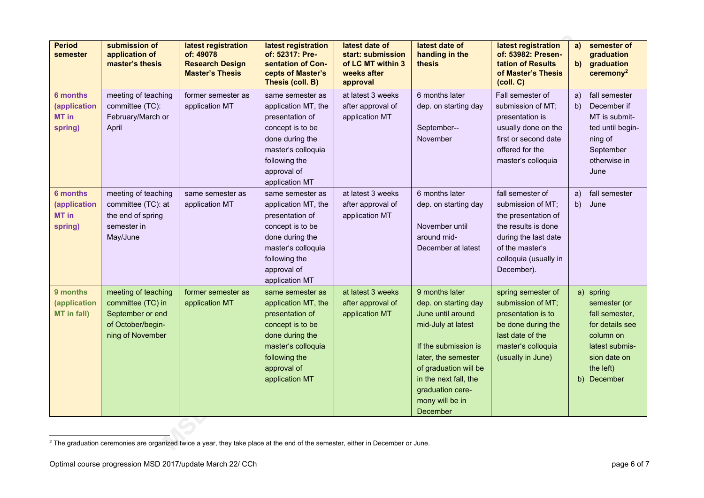| <b>Period</b><br>semester                                  | submission of<br>application of<br>master's thesis                                                    | latest registration<br>of: 49078<br><b>Research Design</b><br><b>Master's Thesis</b> | latest registration<br>of: 52317: Pre-<br>sentation of Con-<br>cepts of Master's<br>Thesis (coll. B)                                                                      | latest date of<br>start: submission<br>of LC MT within 3<br>weeks after<br>approval | latest date of<br>handing in the<br>thesis                                                                                                                                                                                            | latest registration<br>of: 53982: Presen-<br>tation of Results<br>of Master's Thesis<br>(coll. C)                                                                     | a)<br>$\mathbf{b}$ | semester of<br>graduation<br>graduation<br>$c$ eremony <sup>2</sup>                                                                       |
|------------------------------------------------------------|-------------------------------------------------------------------------------------------------------|--------------------------------------------------------------------------------------|---------------------------------------------------------------------------------------------------------------------------------------------------------------------------|-------------------------------------------------------------------------------------|---------------------------------------------------------------------------------------------------------------------------------------------------------------------------------------------------------------------------------------|-----------------------------------------------------------------------------------------------------------------------------------------------------------------------|--------------------|-------------------------------------------------------------------------------------------------------------------------------------------|
| <b>6 months</b><br><i>(application</i><br>MT in<br>spring) | meeting of teaching<br>committee (TC):<br>February/March or<br>April                                  | former semester as<br>application MT                                                 | same semester as<br>application MT, the<br>presentation of<br>concept is to be<br>done during the<br>master's colloquia<br>following the<br>approval of<br>application MT | at latest 3 weeks<br>after approval of<br>application MT                            | 6 months later<br>dep. on starting day<br>September--<br>November                                                                                                                                                                     | Fall semester of<br>submission of MT;<br>presentation is<br>usually done on the<br>first or second date<br>offered for the<br>master's colloquia                      | a)<br>b)           | fall semester<br>December if<br>MT is submit-<br>ted until begin-<br>ning of<br>September<br>otherwise in<br>June                         |
| 6 months<br><i>(application</i><br>MT in<br>spring)        | meeting of teaching<br>committee (TC): at<br>the end of spring<br>semester in<br>May/June             | same semester as<br>application MT                                                   | same semester as<br>application MT, the<br>presentation of<br>concept is to be<br>done during the<br>master's colloquia<br>following the<br>approval of<br>application MT | at latest 3 weeks<br>after approval of<br>application MT                            | 6 months later<br>dep. on starting day<br>November until<br>around mid-<br>December at latest                                                                                                                                         | fall semester of<br>submission of MT;<br>the presentation of<br>the results is done<br>during the last date<br>of the master's<br>colloquia (usually in<br>December). | a)<br>b)           | fall semester<br>June                                                                                                                     |
| 9 months<br><i>(application</i><br>MT in fall)             | meeting of teaching<br>committee (TC) in<br>September or end<br>of October/begin-<br>ning of November | former semester as<br>application MT                                                 | same semester as<br>application MT, the<br>presentation of<br>concept is to be<br>done during the<br>master's colloquia<br>following the<br>approval of<br>application MT | at latest 3 weeks<br>after approval of<br>application MT                            | 9 months later<br>dep. on starting day<br>June until around<br>mid-July at latest<br>If the submission is<br>later, the semester<br>of graduation will be<br>in the next fall, the<br>graduation cere-<br>mony will be in<br>December | spring semester of<br>submission of MT;<br>presentation is to<br>be done during the<br>last date of the<br>master's colloquia<br>(usually in June)                    |                    | a) spring<br>semester (or<br>fall semester,<br>for details see<br>column on<br>latest submis-<br>sion date on<br>the left)<br>b) December |

<sup>&</sup>lt;sup>2</sup> The graduation ceremonies are organized twice a year, they take place at the end of the semester, either in December or June.